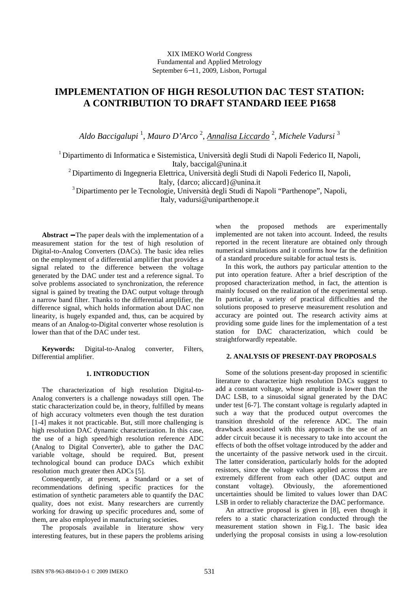# **IMPLEMENTATION OF HIGH RESOLUTION DAC TEST STATION: A CONTRIBUTION TO DRAFT STANDARD IEEE P1658**

*Aldo Baccigalupi* <sup>1</sup> , *Mauro D'Arco* <sup>2</sup> , *Annalisa Liccardo* <sup>2</sup> , *Michele Vadursi* <sup>3</sup>

<sup>1</sup> Dipartimento di Informatica e Sistemistica, Università degli Studi di Napoli Federico II, Napoli, Italy, baccigal@unina.it

 $2$  Dipartimento di Ingegneria Elettrica, Università degli Studi di Napoli Federico II, Napoli,

Italy, {darco; aliccard}@unina.it

<sup>3</sup>Dipartimento per le Tecnologie, Università degli Studi di Napoli "Parthenope", Napoli, Italy, vadursi@uniparthenope.it

**Abstract** − The paper deals with the implementation of a measurement station for the test of high resolution of Digital-to-Analog Converters (DACs). The basic idea relies on the employment of a differential amplifier that provides a signal related to the difference between the voltage generated by the DAC under test and a reference signal. To solve problems associated to synchronization, the reference signal is gained by treating the DAC output voltage through a narrow band filter. Thanks to the differential amplifier, the difference signal, which holds information about DAC non linearity, is hugely expanded and, thus, can be acquired by means of an Analog-to-Digital converter whose resolution is lower than that of the DAC under test.

**Keywords:** Digital-to-Analog converter, Filters, Differential amplifier.

# **1. INTRODUCTION**

The characterization of high resolution Digital-to-Analog converters is a challenge nowadays still open. The static characterization could be, in theory, fulfilled by means of high accuracy voltmeters even though the test duration [1-4] makes it not practicable. But, still more challenging is high resolution DAC dynamic characterization. In this case, the use of a high speed/high resolution reference ADC (Analog to Digital Converter), able to gather the DAC variable voltage, should be required. But, present technological bound can produce DACs which exhibit resolution much greater then ADCs [5].

Consequently, at present, a Standard or a set of recommendations defining specific practices for the estimation of synthetic parameters able to quantify the DAC quality, does not exist. Many researchers are currently working for drawing up specific procedures and, some of them, are also employed in manufacturing societies.

The proposals available in literature show very interesting features, but in these papers the problems arising when the proposed methods are experimentally implemented are not taken into account. Indeed, the results reported in the recent literature are obtained only through numerical simulations and it confirms how far the definition of a standard procedure suitable for actual tests is.

In this work, the authors pay particular attention to the put into operation feature. After a brief description of the proposed characterization method, in fact, the attention is mainly focused on the realization of the experimental setup. In particular, a variety of practical difficulties and the solutions proposed to preserve measurement resolution and accuracy are pointed out. The research activity aims at providing some guide lines for the implementation of a test station for DAC characterization, which could be straightforwardly repeatable.

# **2. ANALYSIS OF PRESENT-DAY PROPOSALS**

Some of the solutions present-day proposed in scientific literature to characterize high resolution DACs suggest to add a constant voltage, whose amplitude is lower than the DAC LSB, to a sinusoidal signal generated by the DAC under test [6-7]. The constant voltage is regularly adapted in such a way that the produced output overcomes the transition threshold of the reference ADC. The main drawback associated with this approach is the use of an adder circuit because it is necessary to take into account the effects of both the offset voltage introduced by the adder and the uncertainty of the passive network used in the circuit. The latter consideration, particularly holds for the adopted resistors, since the voltage values applied across them are extremely different from each other (DAC output and constant voltage). Obviously, the aforementioned uncertainties should be limited to values lower than DAC LSB in order to reliably characterize the DAC performance.

An attractive proposal is given in [8], even though it refers to a static characterization conducted through the measurement station shown in Fig.1. The basic idea underlying the proposal consists in using a low-resolution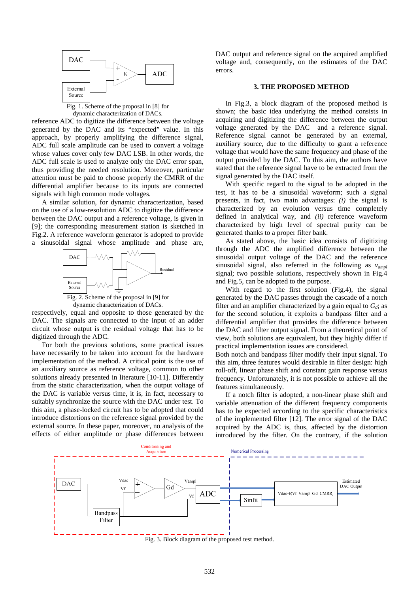

Fig. 1. Scheme of the proposal in [8] for dynamic characterization of DACs.

reference ADC to digitize the difference between the voltage generated by the DAC and its "expected" value. In this approach, by properly amplifying the difference signal, ADC full scale amplitude can be used to convert a voltage whose values cover only few DAC LSB. In other words, the ADC full scale is used to analyze only the DAC error span, thus providing the needed resolution. Moreover, particular attention must be paid to choose properly the CMRR of the differential amplifier because to its inputs are connected signals with high common mode voltages.

A similar solution, for dynamic characterization, based on the use of a low-resolution ADC to digitize the difference between the DAC output and a reference voltage, is given in [9]; the corresponding measurement station is sketched in Fig.2. A reference waveform generator is adopted to provide a sinusoidal signal whose amplitude and phase are,



dynamic characterization of DACs.

respectively, equal and opposite to those generated by the DAC. The signals are connected to the input of an adder circuit whose output is the residual voltage that has to be digitized through the ADC.

For both the previous solutions, some practical issues have necessarily to be taken into account for the hardware implementation of the method. A critical point is the use of an auxiliary source as reference voltage, common to other solutions already presented in literature [10-11]. Differently from the static characterization, when the output voltage of the DAC is variable versus time, it is, in fact, necessary to suitably synchronize the source with the DAC under test. To this aim, a phase-locked circuit has to be adopted that could introduce distortions on the reference signal provided by the external source. In these paper, moreover, no analysis of the effects of either amplitude or phase differences between

DAC output and reference signal on the acquired amplified voltage and, consequently, on the estimates of the DAC errors.

#### **3. THE PROPOSED METHOD**

In Fig.3, a block diagram of the proposed method is shown; the basic idea underlying the method consists in acquiring and digitizing the difference between the output voltage generated by the DAC and a reference signal. Reference signal cannot be generated by an external, auxiliary source, due to the difficulty to grant a reference voltage that would have the same frequency and phase of the output provided by the DAC. To this aim, the authors have stated that the reference signal have to be extracted from the signal generated by the DAC itself.

With specific regard to the signal to be adopted in the test, it has to be a sinusoidal waveform; such a signal presents, in fact, two main advantages: *(i)* the signal is characterized by an evolution versus time completely defined in analytical way, and *(ii)* reference waveform characterized by high level of spectral purity can be generated thanks to a proper filter bank.

As stated above, the basic idea consists of digitizing through the ADC the amplified difference between the sinusoidal output voltage of the DAC and the reference sinusoidal signal, also referred in the following as *vampl* signal; two possible solutions, respectively shown in Fig.4 and Fig.5, can be adopted to the purpose.

With regard to the first solution (Fig.4), the signal generated by the DAC passes through the cascade of a notch filter and an amplifier characterized by a gain equal to  $G_d$ ; as for the second solution, it exploits a bandpass filter and a differential amplifier that provides the difference between the DAC and filter output signal. From a theoretical point of view, both solutions are equivalent, but they highly differ if practical implementation issues are considered.

Both notch and bandpass filter modify their input signal. To this aim, three features would desirable in filter design: high roll-off, linear phase shift and constant gain response versus frequency. Unfortunately, it is not possible to achieve all the features simultaneously.

If a notch filter is adopted, a non-linear phase shift and variable attenuation of the different frequency components has to be expected according to the specific characteristics of the implemented filter [12]. The error signal of the DAC acquired by the ADC is, thus, affected by the distortion introduced by the filter. On the contrary, if the solution



Fig. 3. Block diagram of the proposed test method.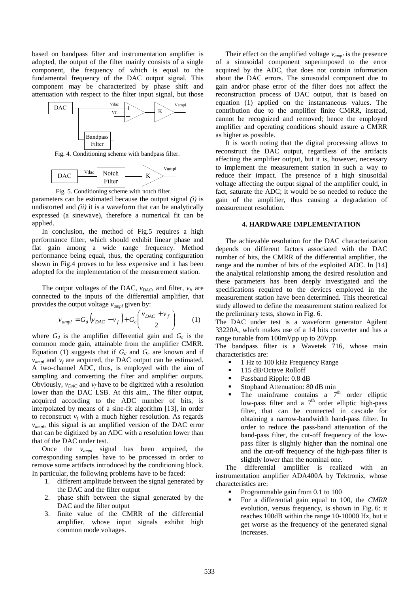based on bandpass filter and instrumentation amplifier is adopted, the output of the filter mainly consists of a single component, the frequency of which is equal to the fundamental frequency of the DAC output signal. This component may be characterized by phase shift and attenuation with respect to the filter input signal, but those



Fig. 4. Conditioning scheme with bandpass filter.





parameters can be estimated because the output signal *(i)* is undistorted and *(ii)* it is a waveform that can be analytically expressed (a sinewave), therefore a numerical fit can be applied.

In conclusion, the method of Fig.5 requires a high performance filter, which should exhibit linear phase and flat gain among a wide range frequency. Method performance being equal, thus, the operating configuration shown in Fig.4 proves to be less expensive and it has been adopted for the implementation of the measurement station.

The output voltages of the DAC,  $v_{DAC}$ , and filter,  $v_f$ , are connected to the inputs of the differential amplifier, that provides the output voltage *vampl* given by:

$$
v_{ampl} = G_d \left( v_{DAC} - v_f \right) + G_c \left( \frac{v_{DAC} + v_f}{2} \right) \tag{1}
$$

where  $G_d$  is the amplifier differential gain and  $G_c$  is the common mode gain, attainable from the amplifier CMRR. Equation (1) suggests that if  $G_d$  and  $G_c$  are known and if  $v_{ampl}$  and  $v_f$  are acquired, the DAC output can be estimated. A two-channel ADC, thus, is employed with the aim of sampling and converting the filter and amplifier outputs. Obviously,  $v_{DAC}$  and  $v_f$  have to be digitized with a resolution lower than the DAC LSB. At this aim,. The filter output, acquired according to the ADC number of bits, is interpolated by means of a sine-fit algorithm [13], in order to reconstruct  $v_f$  with a much higher resolution. As regards *vampl*, this signal is an amplified version of the DAC error that can be digitized by an ADC with a resolution lower than that of the DAC under test.

Once the *vampl* signal has been acquired, the corresponding samples have to be processed in order to remove some artifacts introduced by the conditioning block. In particular, the following problems have to be faced:

- 1. different amplitude between the signal generated by the DAC and the filter output
- 2. phase shift between the signal generated by the DAC and the filter output
- 3. finite value of the CMRR of the differential amplifier, whose input signals exhibit high common mode voltages.

Their effect on the amplified voltage *vampl* is the presence of a sinusoidal component superimposed to the error acquired by the ADC, that does not contain information about the DAC errors. The sinusoidal component due to gain and/or phase error of the filter does not affect the reconstruction process of DAC output, that is based on equation (1) applied on the instantaneous values. The contribution due to the amplifier finite CMRR, instead, cannot be recognized and removed; hence the employed amplifier and operating conditions should assure a CMRR as higher as possible.

It is worth noting that the digital processing allows to reconstruct the DAC output, regardless of the artifacts affecting the amplifier output, but it is, however, necessary to implement the measurement station in such a way to reduce their impact. The presence of a high sinusoidal voltage affecting the output signal of the amplifier could, in fact, saturate the ADC; it would be so needed to reduce the gain of the amplifier, thus causing a degradation of measurement resolution.

#### **4. HARDWARE IMPLEMENTATION**

The achievable resolution for the DAC characterization depends on different factors associated with the DAC number of bits, the CMRR of the differential amplifier, the range and the number of bits of the exploited ADC. In [14] the analytical relationship among the desired resolution and these parameters has been deeply investigated and the specifications required to the devices employed in the measurement station have been determined. This theoretical study allowed to define the measurement station realized for the preliminary tests, shown in Fig. 6.

The DAC under test is a waveform generator Agilent 33220A, which makes use of a 14 bits converter and has a range tunable from 100mVpp up to 20Vpp.

The bandpass filter is a Wavetek 716, whose main characteristics are:

- 1 Hz to 100 kHz Frequency Range
- 115 dB/Octave Rolloff
- Passband Ripple: 0.8 dB
- Stopband Attenuation: 80 dB min
- The mainframe contains a  $7<sup>th</sup>$  order elliptic low-pass filter and a  $7<sup>th</sup>$  order elliptic high-pass filter, that can be connected in cascade for obtaining a narrow-bandwidth band-pass filter. In order to reduce the pass-band attenuation of the band-pass filter, the cut-off frequency of the lowpass filter is slightly higher than the nominal one and the cut-off frequency of the high-pass filter is slightly lower than the nominal one.

The differential amplifier is realized with an instrumentation amplifier ADA400A by Tektronix, whose characteristics are:

- Programmable gain from 0.1 to 100
- For a differential gain equal to 100, the *CMRR* evolution, versus frequency, is shown in Fig. 6: it reaches 100dB within the range 10-10000 Hz, but it get worse as the frequency of the generated signal increases.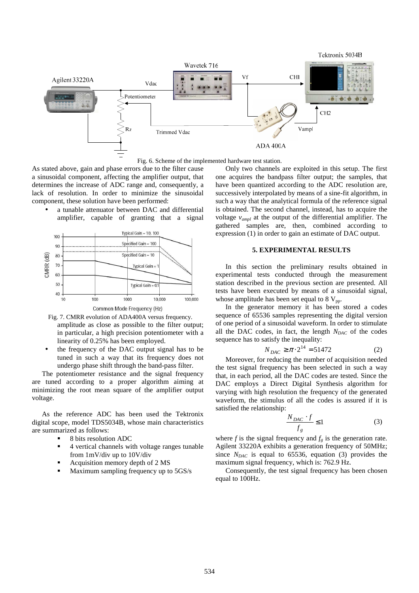

Fig. 6. Scheme of the implemented hardware test station.

As stated above, gain and phase errors due to the filter cause a sinusoidal component, affecting the amplifier output, that determines the increase of ADC range and, consequently, a lack of resolution. In order to minimize the sinusoidal component, these solution have been performed:

a tunable attenuator between DAC and differential amplifier, capable of granting that a signal





amplitude as close as possible to the filter output; in particular, a high precision potentiometer with a linearity of 0.25% has been employed. Fig. 7. CMRR evolution of ADA400A versus frequency.

the frequency of the DAC output signal has to be tuned in such a way that its frequency does not undergo phase shift through the band-pass filter.

The potentiometer resistance and the signal frequency are tuned according to a proper algorithm aiming at minimizing the root mean square of the amplifier output voltage.

As the reference ADC has been used the Tektronix digital scope, model TDS5034B, whose main characteristics are summarized as follows:

- 8 bits resolution ADC
- 4 vertical channels with voltage ranges tunable from 1mV/div up to 10V/div
- Acquisition memory depth of 2 MS
- Maximum sampling frequency up to 5GS/s

Only two channels are exploited in this setup. The first one acquires the bandpass filter output; the samples, that have been quantized according to the ADC resolution are, successively interpolated by means of a sine-fit algorithm, in such a way that the analytical formula of the reference signal is obtained. The second channel, instead, has to acquire the voltage *vampl* at the output of the differential amplifier. The gathered samples are, then, combined according to expression (1) in order to gain an estimate of DAC output.

## **5. EXPERIMENTAL RESULTS**

In this section the preliminary results obtained in experimental tests conducted through the measurement station described in the previous section are presented. All tests have been executed by means of a sinusoidal signal, whose amplitude has been set equal to 8  $V_{\text{pp}}$ .

In the generator memory it has been stored a codes sequence of 65536 samples representing the digital version of one period of a sinusoidal waveform. In order to stimulate all the DAC codes, in fact, the length  $N_{DAC}$  of the codes sequence has to satisfy the inequality:

$$
N_{DAC} \ge \pi \cdot 2^{14} = 51472 \tag{2}
$$

Moreover, for reducing the number of acquisition needed the test signal frequency has been selected in such a way that, in each period, all the DAC codes are tested. Since the DAC employs a Direct Digital Synthesis algorithm for varying with high resolution the frequency of the generated waveform, the stimulus of all the codes is assured if it is satisfied the relationship:

$$
\frac{N_{DAC} \cdot f}{f_g} \le 1\tag{3}
$$

where  $f$  is the signal frequency and  $f_g$  is the generation rate. Agilent 33220A exhibits a generation frequency of 50MHz; since  $N_{DAC}$  is equal to 65536, equation (3) provides the maximum signal frequency, which is: 762.9 Hz.

 Consequently, the test signal frequency has been chosen equal to 100Hz.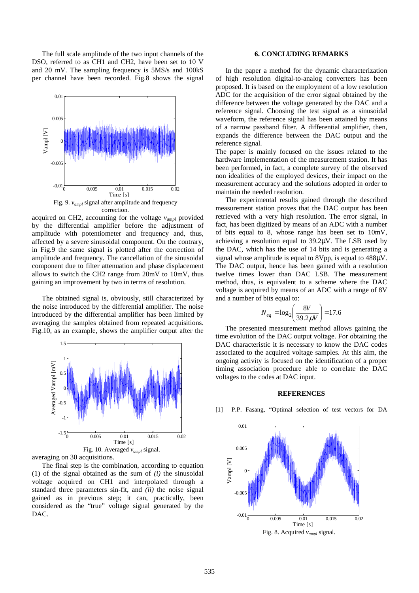The full scale amplitude of the two input channels of the DSO, referred to as CH1 and CH2, have been set to 10 V and 20 mV. The sampling frequency is 5MS/s and 100kS per channel have been recorded. Fig.8 shows the signal



acquired on CH2, accounting for the voltage  $v_{ambl}$  provided by the differential amplifier before the adjustment of amplitude with potentiometer and frequency and, thus, affected by a severe sinusoidal component. On the contrary, in Fig.9 the same signal is plotted after the correction of amplitude and frequency. The cancellation of the sinusoidal component due to filter attenuation and phase displacement allows to switch the CH2 range from 20mV to 10mV, thus gaining an improvement by two in terms of resolution.

The obtained signal is, obviously, still characterized by the noise introduced by the differential amplifier. The noise introduced by the differential amplifier has been limited by averaging the samples obtained from repeated acquisitions. Fig.10, as an example, shows the amplifier output after the



averaging on 30 acquisitions.

The final step is the combination, according to equation (1) of the signal obtained as the sum of *(i)* the sinusoidal voltage acquired on CH1 and interpolated through a standard three parameters sin-fit, and *(ii)* the noise signal gained as in previous step; it can, practically, been considered as the "true" voltage signal generated by the DAC.

### **6. CONCLUDING REMARKS**

 In the paper a method for the dynamic characterization of high resolution digital-to-analog converters has been proposed. It is based on the employment of a low resolution ADC for the acquisition of the error signal obtained by the difference between the voltage generated by the DAC and a reference signal. Choosing the test signal as a sinusoidal waveform, the reference signal has been attained by means of a narrow passband filter. A differential amplifier, then, expands the difference between the DAC output and the reference signal.

The paper is mainly focused on the issues related to the hardware implementation of the measurement station. It has been performed, in fact, a complete survey of the observed non idealities of the employed devices, their impact on the measurement accuracy and the solutions adopted in order to maintain the needed resolution.

 The experimental results gained through the described measurement station proves that the DAC output has been retrieved with a very high resolution. The error signal, in fact, has been digitized by means of an ADC with a number of bits equal to 8, whose range has been set to 10mV, achieving a resolution equal to 39.2µV. The LSB used by the DAC, which has the use of 14 bits and is generating a signal whose amplitude is equal to 8Vpp, is equal to 488 $\mu$ V. The DAC output, hence has been gained with a resolution twelve times lower than DAC LSB. The measurement method, thus, is equivalent to a scheme where the DAC voltage is acquired by means of an ADC with a range of 8V and a number of bits equal to:

$$
N_{eq} = \log_2 \left(\frac{8V}{39.2 \mu V}\right) = 17.6
$$

The presented measurement method allows gaining the time evolution of the DAC output voltage. For obtaining the DAC characteristic it is necessary to know the DAC codes associated to the acquired voltage samples. At this aim, the ongoing activity is focused on the identification of a proper timing association procedure able to correlate the DAC voltages to the codes at DAC input.

#### **REFERENCES**



[1] P.P. Fasang, "Optimal selection of test vectors for DA